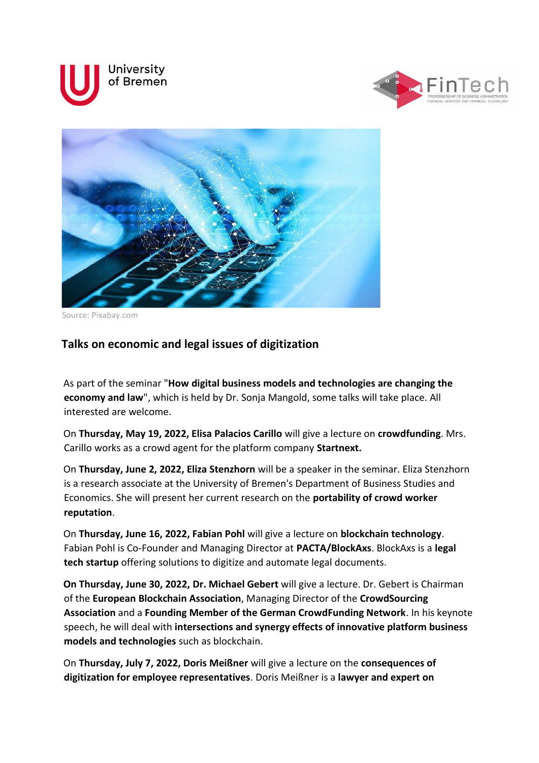





Source: Pixabay.com

## **Talks on economic and legal issues of digitization**

As part of the seminar "**How digital business models and technologies are changing the economy and law**", which is held by Dr. Sonja Mangold, some talks will take place. All interested are welcome.

On **Thursday, May 19, 2022, Elisa Palacios Carillo** will give a lecture on **crowdfunding**. Mrs. Carillo works as a crowd agent for the platform company **Startnext.**

On **Thursday, June 2, 2022, Eliza Stenzhorn** will be a speaker in the seminar. Eliza Stenzhorn is a research associate at the University of Bremen's Department of Business Studies and Economics. She will present her current research on the **portability of crowd worker reputation**.

On **Thursday, June 16, 2022, Fabian Pohl** will give a lecture on **blockchain technology**. Fabian Pohl is Co-Founder and Managing Director at **PACTA/BlockAxs**. BlockAxs is a **legal tech startup** offering solutions to digitize and automate legal documents.

**On Thursday, June 30, 2022, Dr. Michael Gebert** will give a lecture. Dr. Gebert is Chairman of the **European Blockchain Association**, Managing Director of the **CrowdSourcing Association** and a **Founding Member of the German CrowdFunding Network**. In his keynote speech, he will deal with **intersections and synergy effects of innovative platform business models and technologies** such as blockchain.

On **Thursday, July 7, 2022, Doris Meißner** will give a lecture on the **consequences of digitization for employee representatives**. Doris Meißner is a **lawyer and expert on**